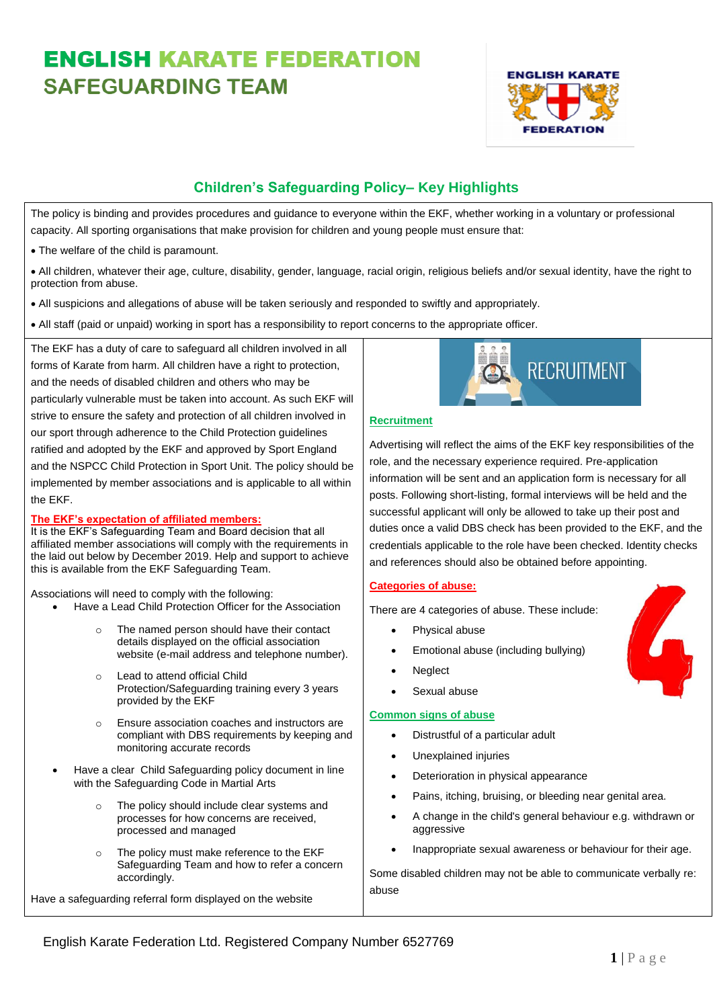# **ENGLISH KARATE FEDERATION SAFFGUARDING TFAM**



# **Children's Safeguarding Policy– Key Highlights**

The policy is binding and provides procedures and guidance to everyone within the EKF, whether working in a voluntary or professional capacity. All sporting organisations that make provision for children and young people must ensure that:

• The welfare of the child is paramount.

• All children, whatever their age, culture, disability, gender, language, racial origin, religious beliefs and/or sexual identity, have the right to protection from abuse.

- All suspicions and allegations of abuse will be taken seriously and responded to swiftly and appropriately.
- All staff (paid or unpaid) working in sport has a responsibility to report concerns to the appropriate officer.

The EKF has a duty of care to safeguard all children involved in all forms of Karate from harm. All children have a right to protection, and the needs of disabled children and others who may be particularly vulnerable must be taken into account. As such EKF will strive to ensure the safety and protection of all children involved in our sport through adherence to the Child Protection guidelines ratified and adopted by the EKF and approved by Sport England and the NSPCC Child Protection in Sport Unit. The policy should be implemented by member associations and is applicable to all within the EKF.

# **The EKF's expectation of affiliated members:**

It is the EKF's Safeguarding Team and Board decision that all affiliated member associations will comply with the requirements in the laid out below by December 2019. Help and support to achieve this is available from the EKF Safeguarding Team.

Associations will need to comply with the following:

- Have a Lead Child Protection Officer for the Association
	- o The named person should have their contact details displayed on the official association website (e-mail address and telephone number).
	- o Lead to attend official Child Protection/Safeguarding training every 3 years provided by the EKF
	- o Ensure association coaches and instructors are compliant with DBS requirements by keeping and monitoring accurate records
- Have a clear Child Safeguarding policy document in line with the Safeguarding Code in Martial Arts
	- o The policy should include clear systems and processes for how concerns are received, processed and managed
	- The policy must make reference to the EKF Safeguarding Team and how to refer a concern accordingly.

Have a safeguarding referral form displayed on the website



#### **Recruitment**

Advertising will reflect the aims of the EKF key responsibilities of the role, and the necessary experience required. Pre-application information will be sent and an application form is necessary for all posts. Following short-listing, formal interviews will be held and the successful applicant will only be allowed to take up their post and duties once a valid DBS check has been provided to the EKF, and the credentials applicable to the role have been checked. Identity checks and references should also be obtained before appointing.

# **Categories of abuse:**

There are 4 categories of abuse. These include:

- Physical abuse
- Emotional abuse (including bullying)
- Neglect
- Sexual abuse

#### **Common signs of abuse**

- Distrustful of a particular adult
- Unexplained injuries
- Deterioration in physical appearance
- Pains, itching, bruising, or bleeding near genital area.
- A change in the child's general behaviour e.g. withdrawn or aggressive
- Inappropriate sexual awareness or behaviour for their age.

Some disabled children may not be able to communicate verbally re: abuse